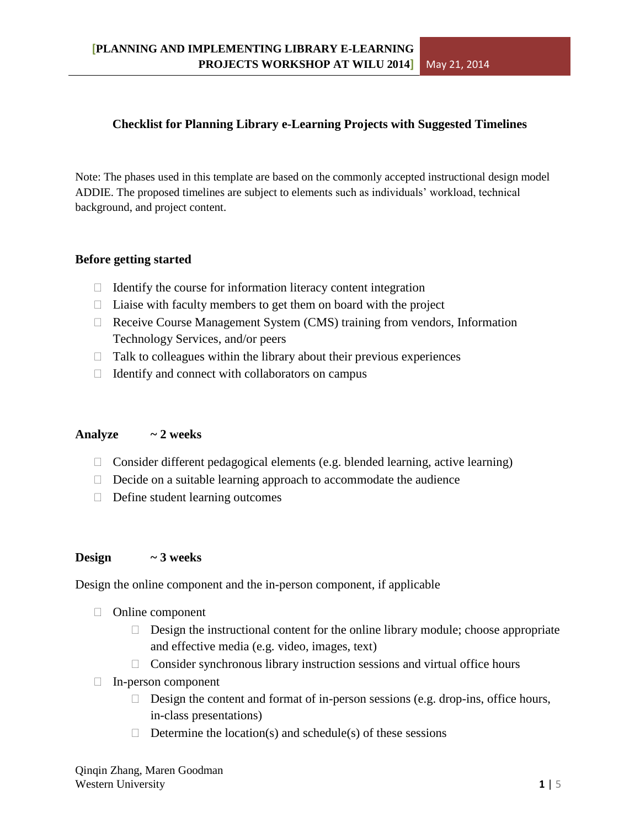## **Checklist for Planning Library e-Learning Projects with Suggested Timelines**

Note: The phases used in this template are based on the commonly accepted instructional design model ADDIE. The proposed timelines are subject to elements such as individuals' workload, technical background, and project content.

### **Before getting started**

- $\Box$  Identify the course for information literacy content integration
- $\Box$  Liaise with faculty members to get them on board with the project
- $\Box$  Receive Course Management System (CMS) training from vendors, Information Technology Services, and/or peers
- $\Box$  Talk to colleagues within the library about their previous experiences
- $\Box$  Identify and connect with collaborators on campus

## **Analyze ~ 2 weeks**

- $\Box$  Consider different pedagogical elements (e.g. blended learning, active learning)
- $\Box$  Decide on a suitable learning approach to accommodate the audience
- $\Box$  Define student learning outcomes

## **Design ~ 3 weeks**

Design the online component and the in-person component, if applicable

- $\Box$  Online component
	- $\Box$  Design the instructional content for the online library module; choose appropriate and effective media (e.g. video, images, text)
	- $\Box$  Consider synchronous library instruction sessions and virtual office hours
- $\Box$  In-person component
	- $\Box$  Design the content and format of in-person sessions (e.g. drop-ins, office hours, in-class presentations)
	- $\Box$  Determine the location(s) and schedule(s) of these sessions

Qinqin Zhang, Maren Goodman Western University **1** | 5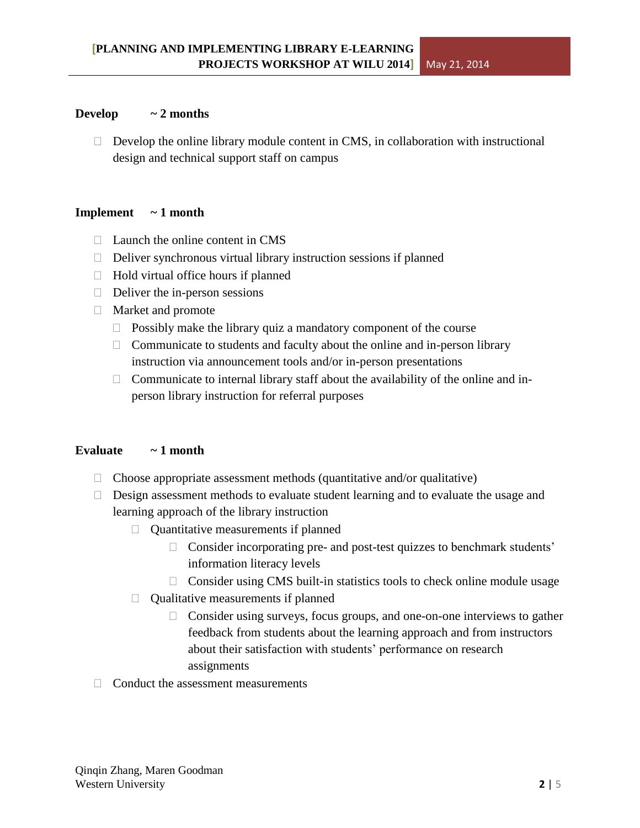#### **Develop**  $\sim$  **2** months

 $\Box$  Develop the online library module content in CMS, in collaboration with instructional design and technical support staff on campus

#### **Implement ~ 1 month**

- $\Box$  Launch the online content in CMS
- $\Box$  Deliver synchronous virtual library instruction sessions if planned
- $\Box$  Hold virtual office hours if planned
- $\Box$  Deliver the in-person sessions
- Market and promote
	- $\Box$  Possibly make the library quiz a mandatory component of the course
	- $\Box$  Communicate to students and faculty about the online and in-person library instruction via announcement tools and/or in-person presentations
	- $\Box$  Communicate to internal library staff about the availability of the online and inperson library instruction for referral purposes

## **Evaluate ~ 1 month**

- $\Box$  Choose appropriate assessment methods (quantitative and/or qualitative)
- $\Box$  Design assessment methods to evaluate student learning and to evaluate the usage and learning approach of the library instruction
	- $\Box$  Quantitative measurements if planned
		- $\Box$  Consider incorporating pre- and post-test quizzes to benchmark students' information literacy levels
		- $\Box$  Consider using CMS built-in statistics tools to check online module usage
	- $\Box$  Qualitative measurements if planned
		- $\Box$  Consider using surveys, focus groups, and one-on-one interviews to gather feedback from students about the learning approach and from instructors about their satisfaction with students' performance on research assignments
- $\Box$  Conduct the assessment measurements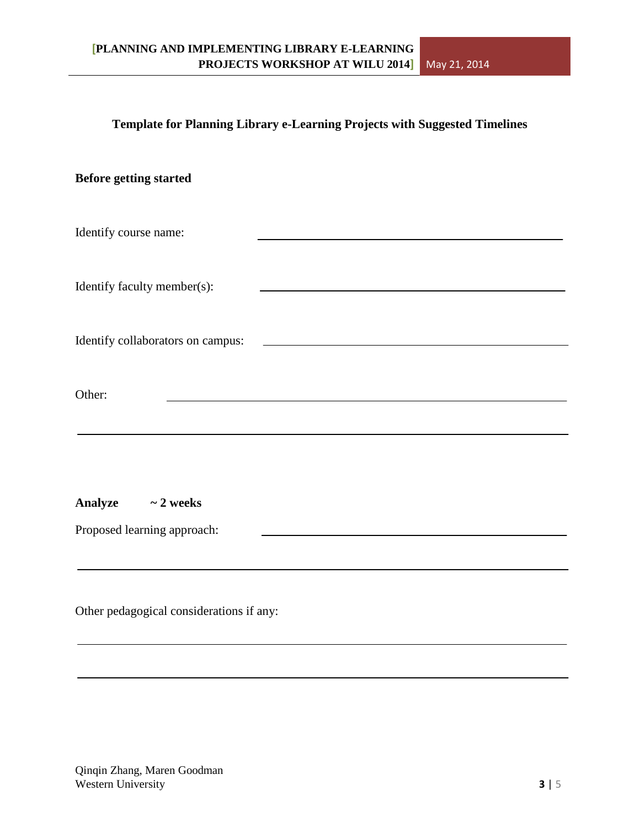### **Template for Planning Library e-Learning Projects with Suggested Timelines**

| <b>Before getting started</b>     |                                                                                                                       |
|-----------------------------------|-----------------------------------------------------------------------------------------------------------------------|
| Identify course name:             |                                                                                                                       |
| Identify faculty member(s):       |                                                                                                                       |
| Identify collaborators on campus: | <u> 1989 - Johann Harry Harry Harry Harry Harry Harry Harry Harry Harry Harry Harry Harry Harry Harry Harry Harry</u> |
| Other:                            |                                                                                                                       |
| <b>Analyze</b><br>$\sim$ 2 weeks  |                                                                                                                       |
| Proposed learning approach:       |                                                                                                                       |

Other pedagogical considerations if any: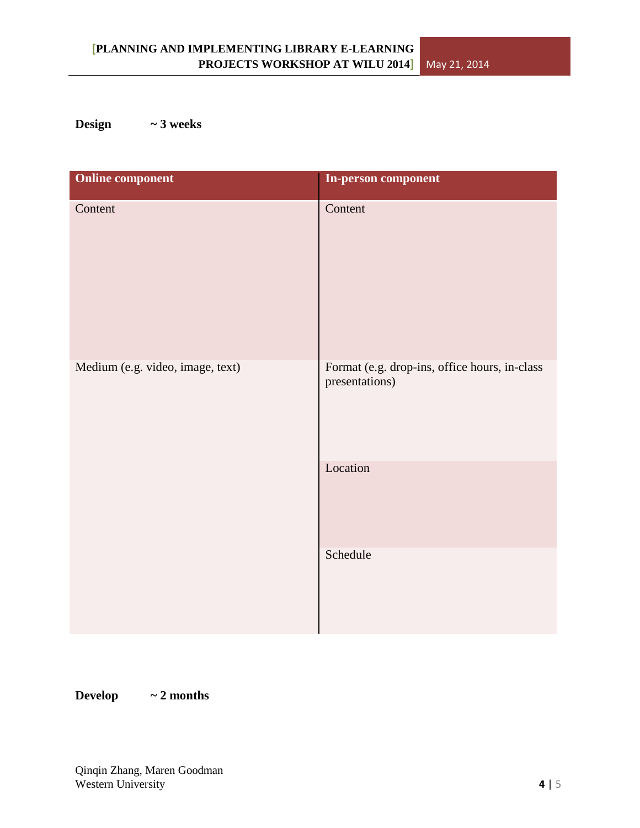# **Design ~ 3 weeks**

| <b>Online component</b>          | In-person component                                             |
|----------------------------------|-----------------------------------------------------------------|
| Content                          | Content                                                         |
| Medium (e.g. video, image, text) | Format (e.g. drop-ins, office hours, in-class<br>presentations) |
|                                  | Location                                                        |
|                                  | Schedule                                                        |

**Develop ~ 2 months**